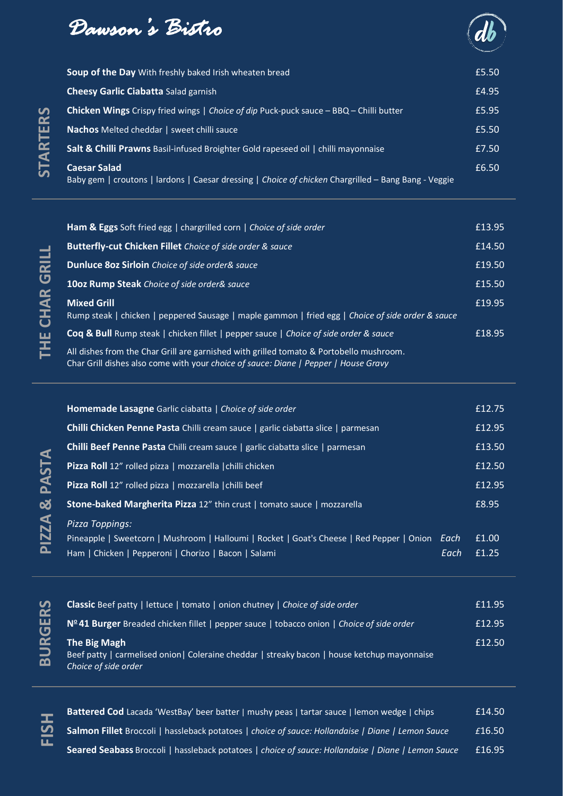



| Soup of the Day With freshly baked Irish wheaten bread                                                                      | £5.50 |
|-----------------------------------------------------------------------------------------------------------------------------|-------|
| <b>Cheesy Garlic Ciabatta Salad garnish</b>                                                                                 | £4.95 |
| <b>Chicken Wings</b> Crispy fried wings   Choice of dip Puck-puck sauce - BBQ - Chilli butter                               | £5.95 |
| <b>Nachos</b> Melted cheddar   sweet chilli sauce                                                                           | £5.50 |
| <b>Salt &amp; Chilli Prawns</b> Basil-infused Broighter Gold rapeseed oil   chilli mayonnaise                               | £7.50 |
| <b>Caesar Salad</b><br>Baby gem   croutons   lardons   Caesar dressing   Choice of chicken Chargrilled - Bang Bang - Veggie | £6.50 |

| <b>Ham &amp; Eggs</b> Soft fried egg   chargrilled corn   Choice of side order                                                                                                 | £13.95 |
|--------------------------------------------------------------------------------------------------------------------------------------------------------------------------------|--------|
| <b>Butterfly-cut Chicken Fillet</b> Choice of side order & sauce                                                                                                               | £14.50 |
| Dunluce 80z Sirloin Choice of side order& sauce                                                                                                                                | £19.50 |
| 10oz Rump Steak Choice of side order& sauce                                                                                                                                    | £15.50 |
| <b>Mixed Grill</b><br>Rump steak   chicken   peppered Sausage   maple gammon   fried egg   Choice of side order & sauce                                                        | £19.95 |
| <b>Coq &amp; Bull</b> Rump steak   chicken fillet   pepper sauce   Choice of side order & sauce                                                                                | £18.95 |
| All dishes from the Char Grill are garnished with grilled tomato & Portobello mushroom.<br>Char Grill dishes also come with your choice of sauce: Diane   Pepper   House Gravy |        |

| Homemade Lasagne Garlic ciabatta   Choice of side order                                            |      | £12.75 |
|----------------------------------------------------------------------------------------------------|------|--------|
| <b>Chilli Chicken Penne Pasta</b> Chilli cream sauce   garlic ciabatta slice   parmesan            |      | £12.95 |
| <b>Chilli Beef Penne Pasta</b> Chilli cream sauce   garlic ciabatta slice   parmesan               |      | £13.50 |
| <b>Pizza Roll</b> $12^{\overline{v}}$ rolled pizza   mozzarella $\overline{\text{chilli}}$ chicken |      | £12.50 |
| <b>Pizza Roll</b> 12" rolled pizza   mozzarella   chilli beef                                      |      | £12.95 |
| <b>Stone-baked Margherita Pizza 12"</b> thin crust   tomato sauce   mozzarella                     |      | £8.95  |
| Pizza Toppings:                                                                                    |      |        |
| Pineapple   Sweetcorn   Mushroom   Halloumi   Rocket   Goat's Cheese   Red Pepper   Onion          | Each | £1.00  |
| Ham   Chicken   Pepperoni   Chorizo   Bacon   Salami                                               | Each | f1.25  |
|                                                                                                    |      |        |

| <b>Classic</b> Beef patty   lettuce   tomato   onion chutney   Choice of side order                                                  | £11.95 |
|--------------------------------------------------------------------------------------------------------------------------------------|--------|
| $N241 Burger Breaded chicken filled   pepper sauce   tobacco onion   Choice of side order$                                           | £12.95 |
| The Big Magh<br>Beef patty   carmelised onion   Coleraine cheddar   streaky bacon   house ketchup mayonnaise<br>Choice of side order | £12.50 |

**BURGERS**

| <b>Battered Cod</b> Lacada 'WestBay' beer batter   mushy peas   tartar sauce   lemon wedge   chips <sub>i</sub> | £14.50 |
|-----------------------------------------------------------------------------------------------------------------|--------|
| <b>Salmon Fillet</b> Broccoli   hassleback potatoes   choice of sauce: Hollandaise   Diane   Lemon Sauce        | £16.50 |
| <b>Seared Seabass</b> Broccoli   hassleback potatoes   choice of sauce: Hollandaise   Diane   Lemon Sauce       | £16.95 |

**STARTERS**